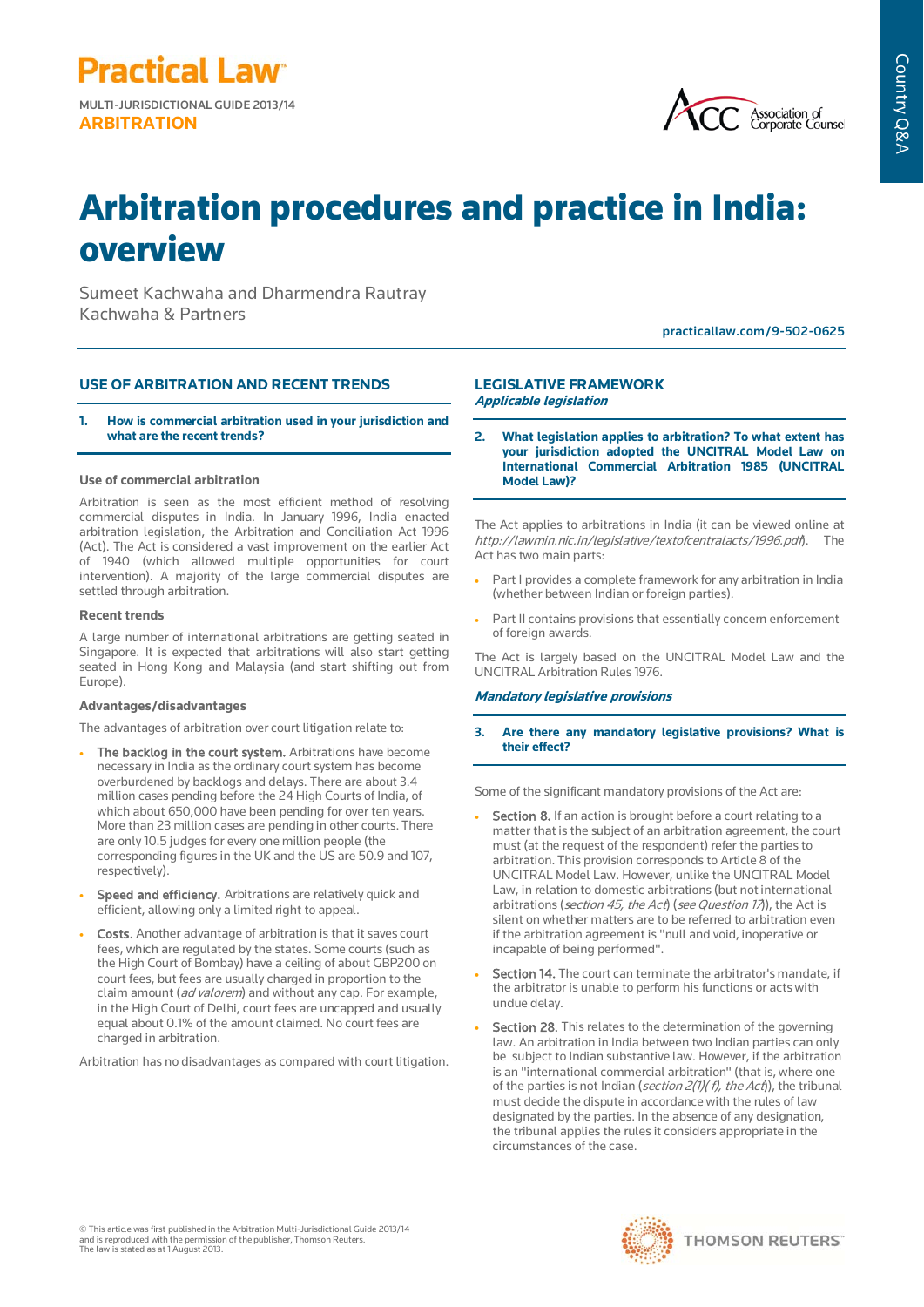MULTI-JURISDICTIONAL GUIDE 2013/14 **ARBITRATION**

**Practical Law<sup>®</sup>** 



# Arbitration procedures and practice in India: overview

Sumeet Kachwaha and Dharmendra Rautray Kachwaha & Partners

practicallaw.com/9-502-0625

## **USE OF ARBITRATION AND RECENT TRENDS**

**1. How is commercial arbitration used in your jurisdiction and what are the recent trends?**

## **Use of commercial arbitration**

Arbitration is seen as the most efficient method of resolving commercial disputes in India. In January 1996, India enacted arbitration legislation, the Arbitration and Conciliation Act 1996 (Act). The Act is considered a vast improvement on the earlier Act of 1940 (which allowed multiple opportunities for court intervention). A majority of the large commercial disputes are settled through arbitration.

## **Recent trends**

A large number of international arbitrations are getting seated in Singapore. It is expected that arbitrations will also start getting seated in Hong Kong and Malaysia (and start shifting out from Europe).

## **Advantages/disadvantages**

The advantages of arbitration over court litigation relate to:

- The backlog in the court system. Arbitrations have become necessary in India as the ordinary court system has become overburdened by backlogs and delays. There are about 3.4 million cases pending before the 24 High Courts of India, of which about 650,000 have been pending for over ten years. More than 23 million cases are pending in other courts. There are only 10.5 judges for every one million people (the corresponding figures in the UK and the US are 50.9 and 107, respectively).
- Speed and efficiency. Arbitrations are relatively quick and efficient, allowing only a limited right to appeal.
- Costs. Another advantage of arbitration is that it saves court fees, which are regulated by the states. Some courts (such as the High Court of Bombay) have a ceiling of about GBP200 on court fees, but fees are usually charged in proportion to the claim amount (ad valorem) and without any cap. For example, in the High Court of Delhi, court fees are uncapped and usually equal about 0.1% of the amount claimed. No court fees are charged in arbitration.

Arbitration has no disadvantages as compared with court litigation.

## **LEGISLATIVE FRAMEWORK Applicable legislation**

**2. What legislation applies to arbitration? To what extent has your jurisdiction adopted the UNCITRAL Model Law on International Commercial Arbitration 1985 (UNCITRAL Model Law)?**

The Act applies to arbitrations in India (it can be viewed online at http://lawmin.nic.in/legislative/textofcentralacts/1996.pdf). Act has two main parts:

- Part I provides a complete framework for any arbitration in India (whether between Indian or foreign parties).
- Part II contains provisions that essentially concern enforcement of foreign awards.

The Act is largely based on the UNCITRAL Model Law and the UNCITRAL Arbitration Rules 1976.

## **Mandatory legislative provisions**

**3. Are there any mandatory legislative provisions? What is their effect?** 

Some of the significant mandatory provisions of the Act are:

- Section 8. If an action is brought before a court relating to a matter that is the subject of an arbitration agreement, the court must (at the request of the respondent) refer the parties to arbitration. This provision corresponds to Article 8 of the UNCITRAL Model Law. However, unlike the UNCITRAL Model Law, in relation to domestic arbitrations (but not international arbitrations (section 45, the Act) (see Question 17), the Act is silent on whether matters are to be referred to arbitration even if the arbitration agreement is "null and void, inoperative or incapable of being performed".
- Section 14. The court can terminate the arbitrator's mandate, if the arbitrator is unable to perform his functions or acts with undue delay.
- Section 28. This relates to the determination of the governing law. An arbitration in India between two Indian parties can only be subject to Indian substantive law. However, if the arbitration is an "international commercial arbitration" (that is, where one of the parties is not Indian (section  $2(1)(f)$ , the  $Act)$ ), the tribunal must decide the dispute in accordance with the rules of law designated by the parties. In the absence of any designation, the tribunal applies the rules it considers appropriate in the circumstances of the case.

© This article was first published in the Arbitration Multi-Jurisdictional Guide 2013/14 and is reproduced with the permission of the publisher, Thomson Reuters. The law is stated as at 1 August 2013.

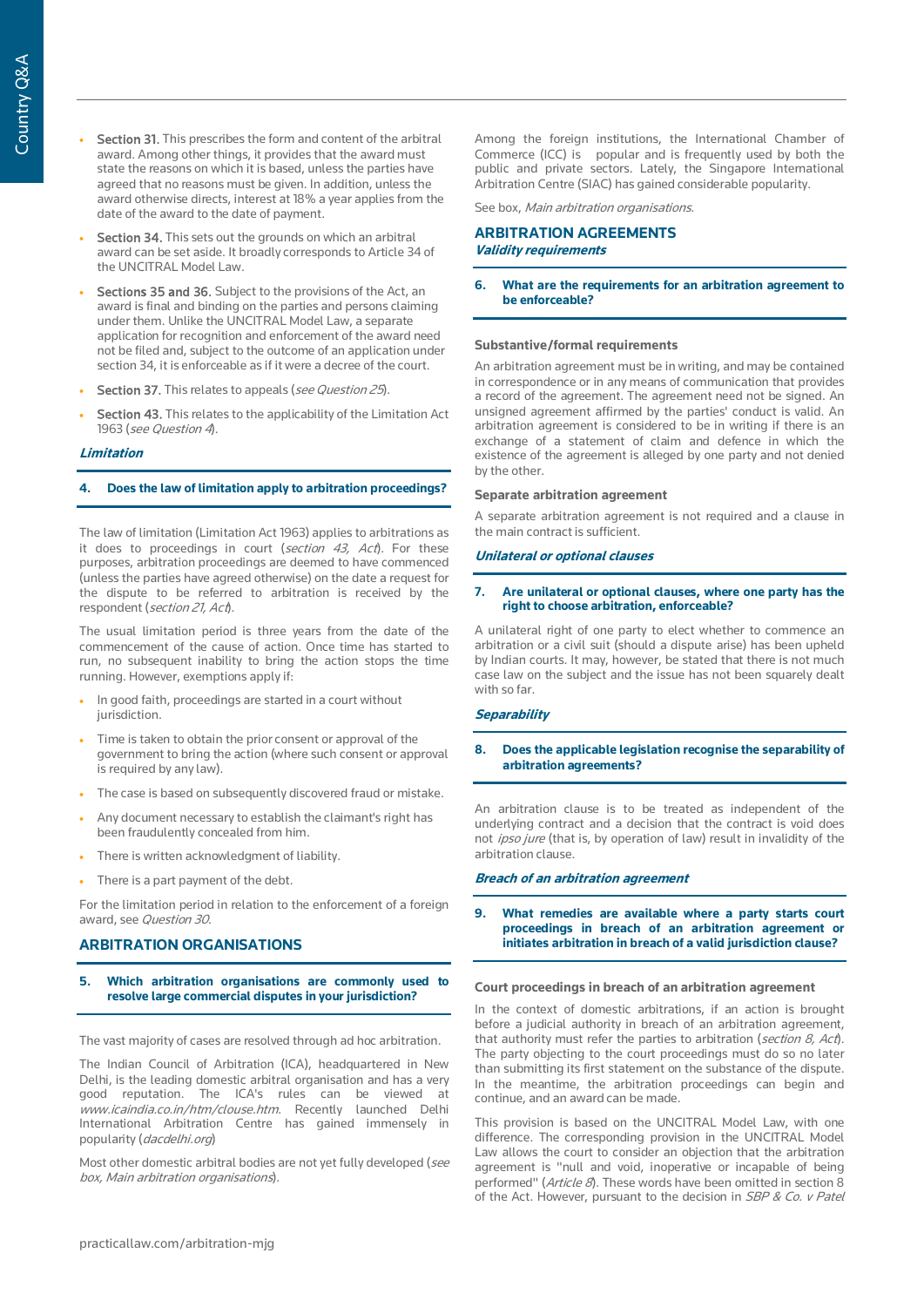- Section 31. This prescribes the form and content of the arbitral award. Among other things, it provides that the award must state the reasons on which it is based, unless the parties have agreed that no reasons must be given. In addition, unless the award otherwise directs, interest at 18% a year applies from the date of the award to the date of payment.
- Section 34. This sets out the grounds on which an arbitral award can be set aside. It broadly corresponds to Article 34 of the UNCITRAL Model Law.
- Sections 35 and 36. Subject to the provisions of the Act, an award is final and binding on the parties and persons claiming under them. Unlike the UNCITRAL Model Law, a separate application for recognition and enforcement of the award need not be filed and, subject to the outcome of an application under section 34, it is enforceable as if it were a decree of the court.
- Section 37. This relates to appeals (see Question 25).
- Section 43. This relates to the applicability of the Limitation Act 1963 (see Question 4).

## **Limitation**

## **4. Does the law of limitation apply to arbitration proceedings?**

The law of limitation (Limitation Act 1963) applies to arbitrations as it does to proceedings in court (section 43, Act). For these purposes, arbitration proceedings are deemed to have commenced (unless the parties have agreed otherwise) on the date a request for the dispute to be referred to arbitration is received by the respondent (section 21, Act).

The usual limitation period is three years from the date of the commencement of the cause of action. Once time has started to run, no subsequent inability to bring the action stops the time running. However, exemptions apply if:

- In good faith, proceedings are started in a court without jurisdiction.
- Time is taken to obtain the prior consent or approval of the government to bring the action (where such consent or approval is required by any law).
- The case is based on subsequently discovered fraud or mistake.
- Any document necessary to establish the claimant's right has been fraudulently concealed from him.
- There is written acknowledgment of liability.
- There is a part payment of the debt.

For the limitation period in relation to the enforcement of a foreign award, see Question 30.

# **ARBITRATION ORGANISATIONS**

## **5. Which arbitration organisations are commonly used to resolve large commercial disputes in your jurisdiction?**

The vast majority of cases are resolved through ad hoc arbitration.

The Indian Council of Arbitration (ICA), headquartered in New Delhi, is the leading domestic arbitral organisation and has a very good reputation. The ICA's rules can be viewed at www.icaindia.co.in/htm/clouse.htm. Recently launched Delhi International Arbitration Centre has gained immensely in popularity (dacdelhi.org)

Most other domestic arbitral bodies are not yet fully developed (see box, Main arbitration organisations).

Among the foreign institutions, the International Chamber of Commerce (ICC) is popular and is frequently used by both the public and private sectors. Lately, the Singapore International Arbitration Centre (SIAC) has gained considerable popularity.

See box, Main arbitration organisations.

## **ARBITRATION AGREEMENTS Validity requirements**

## **6. What are the requirements for an arbitration agreement to be enforceable?**

### **Substantive/formal requirements**

An arbitration agreement must be in writing, and may be contained in correspondence or in any means of communication that provides a record of the agreement. The agreement need not be signed. An unsigned agreement affirmed by the parties' conduct is valid. An arbitration agreement is considered to be in writing if there is an exchange of a statement of claim and defence in which the existence of the agreement is alleged by one party and not denied by the other.

#### **Separate arbitration agreement**

A separate arbitration agreement is not required and a clause in the main contract is sufficient.

## **Unilateral or optional clauses**

## **7. Are unilateral or optional clauses, where one party has the right to choose arbitration, enforceable?**

A unilateral right of one party to elect whether to commence an arbitration or a civil suit (should a dispute arise) has been upheld by Indian courts. It may, however, be stated that there is not much case law on the subject and the issue has not been squarely dealt with so far.

## **Separability**

## **8. Does the applicable legislation recognise the separability of arbitration agreements?**

An arbitration clause is to be treated as independent of the underlying contract and a decision that the contract is void does not ipso jure (that is, by operation of law) result in invalidity of the arbitration clause.

## **Breach of an arbitration agreement**

## **9. What remedies are available where a party starts court proceedings in breach of an arbitration agreement or initiates arbitration in breach of a valid jurisdiction clause?**

## **Court proceedings in breach of an arbitration agreement**

In the context of domestic arbitrations, if an action is brought before a judicial authority in breach of an arbitration agreement, that authority must refer the parties to arbitration (section 8, Act). The party objecting to the court proceedings must do so no later than submitting its first statement on the substance of the dispute. In the meantime, the arbitration proceedings can begin and continue, and an award can be made.

This provision is based on the UNCITRAL Model Law, with one difference. The corresponding provision in the UNCITRAL Model Law allows the court to consider an objection that the arbitration agreement is "null and void, inoperative or incapable of being performed" (Article 8). These words have been omitted in section 8 of the Act. However, pursuant to the decision in SBP & Co. v Patel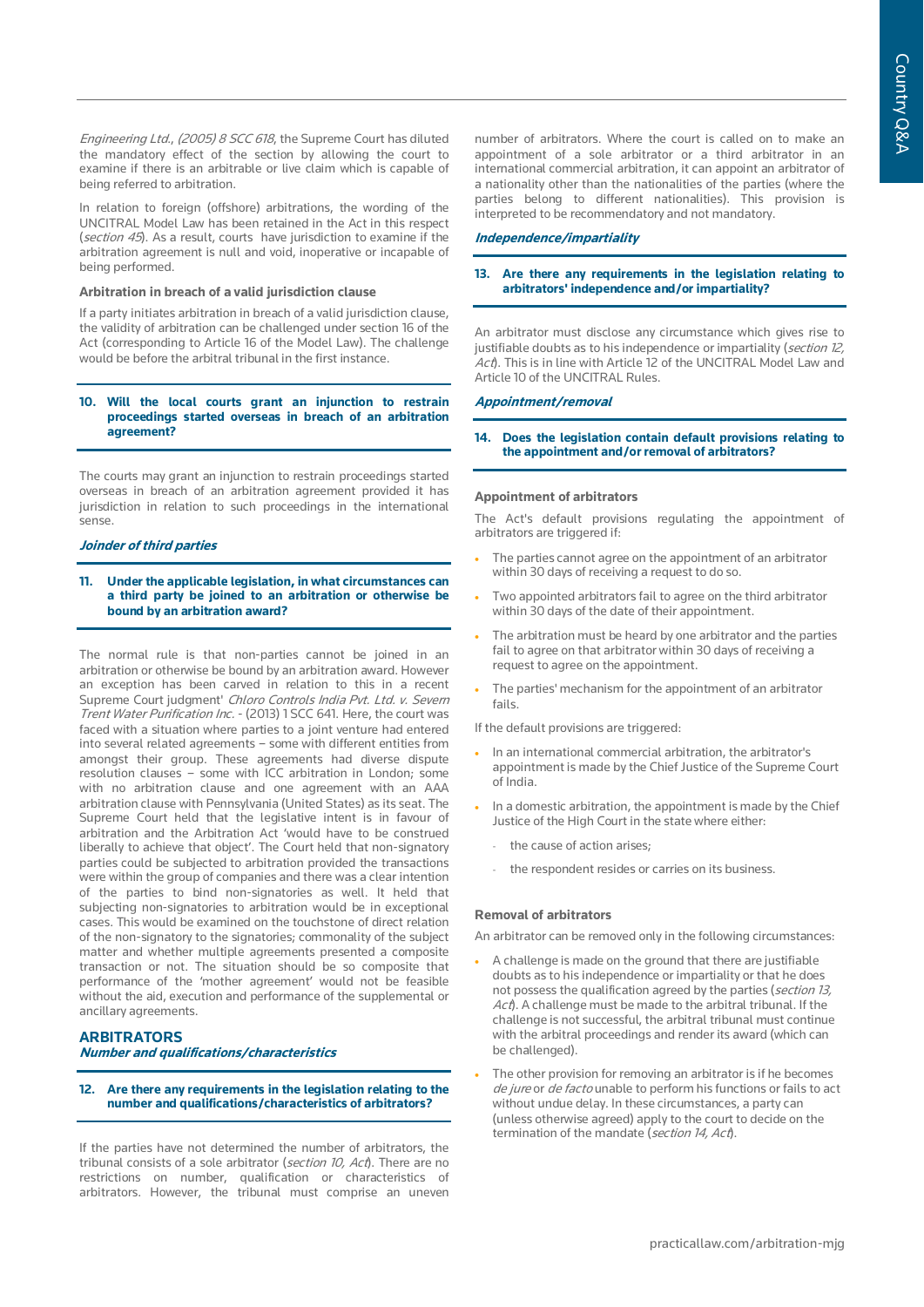Engineering Ltd., (2005) 8 SCC 618, the Supreme Court has diluted the mandatory effect of the section by allowing the court to examine if there is an arbitrable or live claim which is capable of being referred to arbitration.

In relation to foreign (offshore) arbitrations, the wording of the UNCITRAL Model Law has been retained in the Act in this respect (section 45). As a result, courts have jurisdiction to examine if the arbitration agreement is null and void, inoperative or incapable of being performed.

#### **Arbitration in breach of a valid jurisdiction clause**

If a party initiates arbitration in breach of a valid jurisdiction clause, the validity of arbitration can be challenged under section 16 of the Act (corresponding to Article 16 of the Model Law). The challenge would be before the arbitral tribunal in the first instance.

## **10. Will the local courts grant an injunction to restrain proceedings started overseas in breach of an arbitration agreement?**

The courts may grant an injunction to restrain proceedings started overseas in breach of an arbitration agreement provided it has jurisdiction in relation to such proceedings in the international sense.

## **Joinder of third parties**

## **11. Under the applicable legislation, in what circumstances can a third party be joined to an arbitration or otherwise be bound by an arbitration award?**

The normal rule is that non-parties cannot be joined in an arbitration or otherwise be bound by an arbitration award. However an exception has been carved in relation to this in a recent Supreme Court judgment' Chloro Controls India Pvt. Ltd. v. Severn Trent Water Purification Inc. - (2013) 1 SCC 641. Here, the court was faced with a situation where parties to a joint venture had entered into several related agreements – some with different entities from amongst their group. These agreements had diverse dispute resolution clauses – some with ICC arbitration in London; some with no arbitration clause and one agreement with an AAA arbitration clause with Pennsylvania (United States) as its seat. The Supreme Court held that the legislative intent is in favour of arbitration and the Arbitration Act 'would have to be construed liberally to achieve that object'. The Court held that non-signatory parties could be subjected to arbitration provided the transactions were within the group of companies and there was a clear intention of the parties to bind non-signatories as well. It held that subjecting non-signatories to arbitration would be in exceptional cases. This would be examined on the touchstone of direct relation of the non-signatory to the signatories; commonality of the subject matter and whether multiple agreements presented a composite transaction or not. The situation should be so composite that performance of the 'mother agreement' would not be feasible without the aid, execution and performance of the supplemental or ancillary agreements.

## **ARBITRATORS**

**Number and qualifications/characteristics**

#### **12. Are there any requirements in the legislation relating to the number and qualifications/characteristics of arbitrators?**

If the parties have not determined the number of arbitrators, the tribunal consists of a sole arbitrator (section 10, Act). There are no restrictions on number, qualification or characteristics of arbitrators. However, the tribunal must comprise an uneven

number of arbitrators. Where the court is called on to make an appointment of a sole arbitrator or a third arbitrator in an international commercial arbitration, it can appoint an arbitrator of a nationality other than the nationalities of the parties (where the parties belong to different nationalities). This provision is interpreted to be recommendatory and not mandatory.

## **Independence/impartiality**

## **13. Are there any requirements in the legislation relating to arbitrators' independence and/or impartiality?**

An arbitrator must disclose any circumstance which gives rise to justifiable doubts as to his independence or impartiality (section 12, Act). This is in line with Article 12 of the UNCITRAL Model Law and Article 10 of the UNCITRAL Rules.

## **Appointment/removal**

**14. Does the legislation contain default provisions relating to the appointment and/or removal of arbitrators?**

## **Appointment of arbitrators**

The Act's default provisions regulating the appointment of arbitrators are triggered if:

- The parties cannot agree on the appointment of an arbitrator within 30 days of receiving a request to do so.
- Two appointed arbitrators fail to agree on the third arbitrator within 30 days of the date of their appointment.
- The arbitration must be heard by one arbitrator and the parties fail to agree on that arbitrator within 30 days of receiving a request to agree on the appointment.
- The parties' mechanism for the appointment of an arbitrator fails.

If the default provisions are triggered:

- In an international commercial arbitration, the arbitrator's appointment is made by the Chief Justice of the Supreme Court of India.
- In a domestic arbitration, the appointment is made by the Chief Justice of the High Court in the state where either:
	- the cause of action arises;
	- the respondent resides or carries on its business.

#### **Removal of arbitrators**

An arbitrator can be removed only in the following circumstances:

- A challenge is made on the ground that there are justifiable doubts as to his independence or impartiality or that he does not possess the qualification agreed by the parties (*section 13*, Act). A challenge must be made to the arbitral tribunal. If the challenge is not successful, the arbitral tribunal must continue with the arbitral proceedings and render its award (which can be challenged).
- The other provision for removing an arbitrator is if he becomes de jure or de facto unable to perform his functions or fails to act without undue delay. In these circumstances, a party can (unless otherwise agreed) apply to the court to decide on the termination of the mandate (section 14, Act).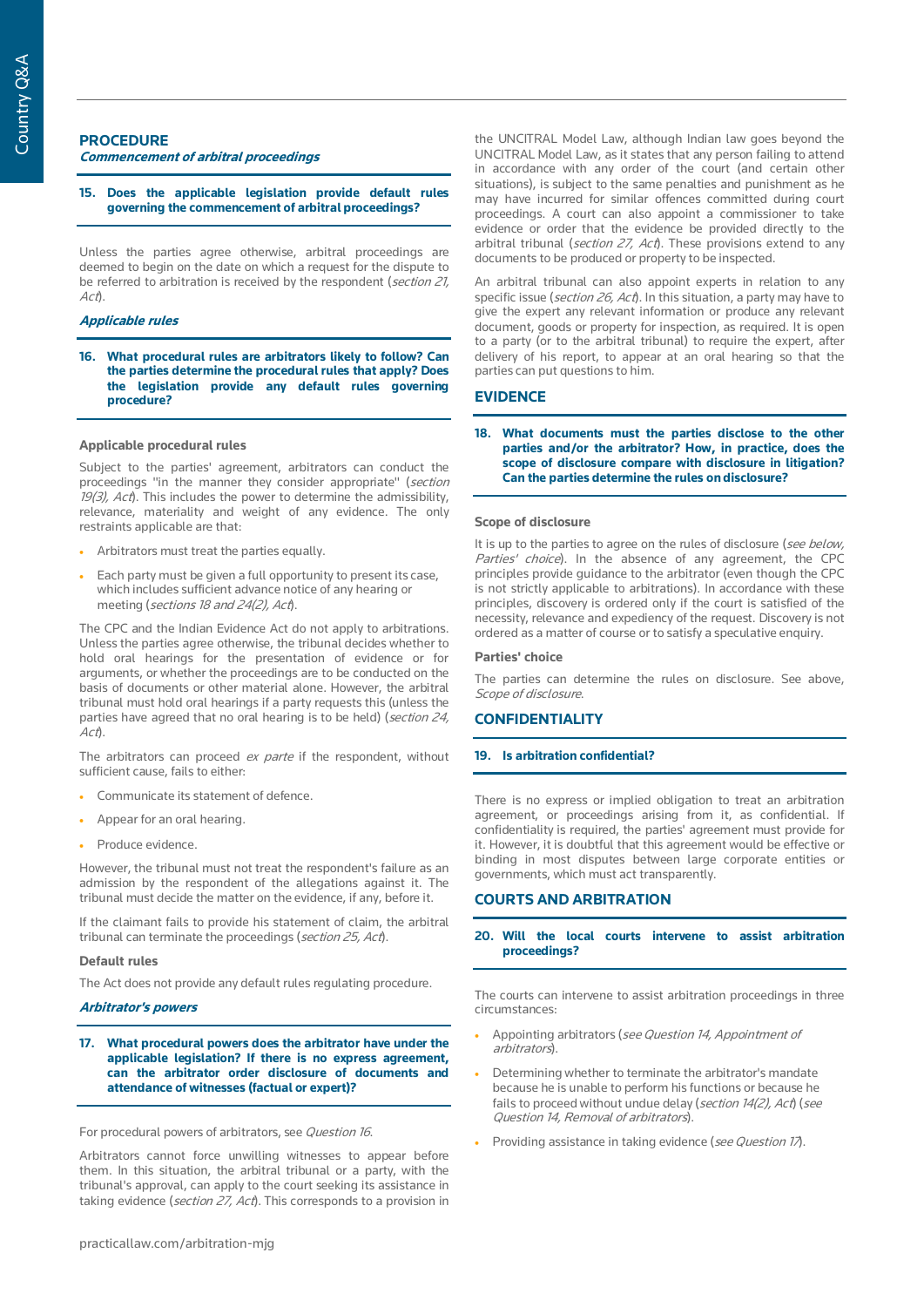## **PROCEDURE Commencement of arbitral proceedings**

**15. Does the applicable legislation provide default rules governing the commencement of arbitral proceedings?**

Unless the parties agree otherwise, arbitral proceedings are deemed to begin on the date on which a request for the dispute to be referred to arbitration is received by the respondent (section 21,  $A c t$ ).

## **Applicable rules**

**16. What procedural rules are arbitrators likely to follow? Can the parties determine the procedural rules that apply? Does the legislation provide any default rules governing procedure?**

## **Applicable procedural rules**

Subject to the parties' agreement, arbitrators can conduct the proceedings "in the manner they consider appropriate" (section  $19(3)$ , Act). This includes the power to determine the admissibility, relevance, materiality and weight of any evidence. The only restraints applicable are that:

- Arbitrators must treat the parties equally.
- Each party must be given a full opportunity to present its case, which includes sufficient advance notice of any hearing or meeting (sections 18 and 24(2), Act).

The CPC and the Indian Evidence Act do not apply to arbitrations. Unless the parties agree otherwise, the tribunal decides whether to hold oral hearings for the presentation of evidence or for arguments, or whether the proceedings are to be conducted on the basis of documents or other material alone. However, the arbitral tribunal must hold oral hearings if a party requests this (unless the parties have agreed that no oral hearing is to be held) (section  $24$ , Act).

The arbitrators can proceed ex parte if the respondent, without sufficient cause, fails to either:

- Communicate its statement of defence.
- Appear for an oral hearing.
- Produce evidence.

However, the tribunal must not treat the respondent's failure as an admission by the respondent of the allegations against it. The tribunal must decide the matter on the evidence, if any, before it.

If the claimant fails to provide his statement of claim, the arbitral tribunal can terminate the proceedings (section 25, Act).

## **Default rules**

The Act does not provide any default rules regulating procedure.

## **Arbitrator's powers**

**17. What procedural powers does the arbitrator have under the applicable legislation? If there is no express agreement, can the arbitrator order disclosure of documents and attendance of witnesses (factual or expert)?**

For procedural powers of arbitrators, see Question 16.

Arbitrators cannot force unwilling witnesses to appear before them. In this situation, the arbitral tribunal or a party, with the tribunal's approval, can apply to the court seeking its assistance in taking evidence (section 27, Act). This corresponds to a provision in

the UNCITRAL Model Law, although Indian law goes beyond the UNCITRAL Model Law, as it states that any person failing to attend in accordance with any order of the court (and certain other situations), is subject to the same penalties and punishment as he may have incurred for similar offences committed during court proceedings. A court can also appoint a commissioner to take evidence or order that the evidence be provided directly to the arbitral tribunal (section 27, Act). These provisions extend to any documents to be produced or property to be inspected.

An arbitral tribunal can also appoint experts in relation to any specific issue (*section 26, Act*). In this situation, a party may have to give the expert any relevant information or produce any relevant document, goods or property for inspection, as required. It is open to a party (or to the arbitral tribunal) to require the expert, after delivery of his report, to appear at an oral hearing so that the parties can put questions to him.

## **EVIDENCE**

**18. What documents must the parties disclose to the other parties and/or the arbitrator? How, in practice, does the scope of disclosure compare with disclosure in litigation? Can the parties determine the rules on disclosure?**

#### **Scope of disclosure**

It is up to the parties to agree on the rules of disclosure (see below, Parties' choice). In the absence of any agreement, the CPC principles provide guidance to the arbitrator (even though the CPC is not strictly applicable to arbitrations). In accordance with these principles, discovery is ordered only if the court is satisfied of the necessity, relevance and expediency of the request. Discovery is not ordered as a matter of course or to satisfy a speculative enquiry.

#### **Parties' choice**

The parties can determine the rules on disclosure. See above, Scope of disclosure.

## **CONFIDENTIALITY**

### **19. Is arbitration confidential?**

There is no express or implied obligation to treat an arbitration agreement, or proceedings arising from it, as confidential. If confidentiality is required, the parties' agreement must provide for it. However, it is doubtful that this agreement would be effective or binding in most disputes between large corporate entities or governments, which must act transparently.

## **COURTS AND ARBITRATION**

## **20. Will the local courts intervene to assist arbitration proceedings?**

The courts can intervene to assist arbitration proceedings in three circumstances:

- Appointing arbitrators (see Question 14, Appointment of arbitrators).
- Determining whether to terminate the arbitrator's mandate because he is unable to perform his functions or because he fails to proceed without undue delay (section 14(2), Act) (see Question 14, Removal of arbitrators).
- Providing assistance in taking evidence (see Question 17).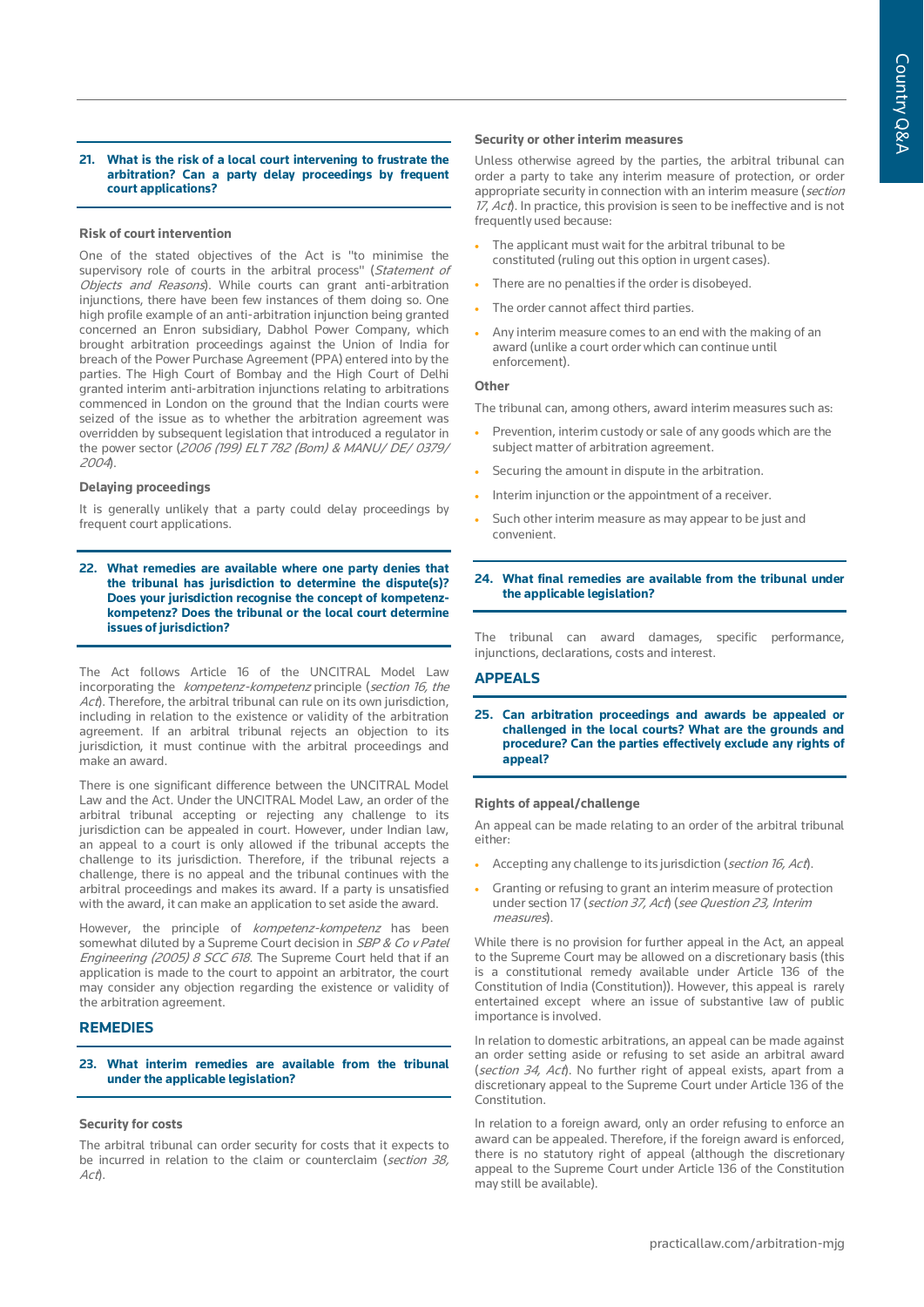## **21. What is the risk of a local court intervening to frustrate the arbitration? Can a party delay proceedings by frequent court applications?**

## **Risk of court intervention**

One of the stated objectives of the Act is "to minimise the supervisory role of courts in the arbitral process" (Statement of Objects and Reasons). While courts can grant anti-arbitration injunctions, there have been few instances of them doing so. One high profile example of an anti-arbitration injunction being granted concerned an Enron subsidiary, Dabhol Power Company, which brought arbitration proceedings against the Union of India for breach of the Power Purchase Agreement (PPA) entered into by the parties. The High Court of Bombay and the High Court of Delhi granted interim anti-arbitration injunctions relating to arbitrations commenced in London on the ground that the Indian courts were seized of the issue as to whether the arbitration agreement was overridden by subsequent legislation that introduced a regulator in the power sector (2006 (199) ELT 782 (Bom) & MANU/ DE/ 0379/ <sup>2004</sup>).

#### **Delaying proceedings**

It is generally unlikely that a party could delay proceedings by frequent court applications.

**22. What remedies are available where one party denies that the tribunal has jurisdiction to determine the dispute(s)? Does your jurisdiction recognise the concept of kompetenzkompetenz? Does the tribunal or the local court determine issues of jurisdiction?**

The Act follows Article 16 of the UNCITRAL Model Law incorporating the kompetenz-kompetenz principle (section 16, the Act). Therefore, the arbitral tribunal can rule on its own jurisdiction, including in relation to the existence or validity of the arbitration agreement. If an arbitral tribunal rejects an objection to its jurisdiction, it must continue with the arbitral proceedings and make an award.

There is one significant difference between the UNCITRAL Model Law and the Act. Under the UNCITRAL Model Law, an order of the arbitral tribunal accepting or rejecting any challenge to its jurisdiction can be appealed in court. However, under Indian law, an appeal to a court is only allowed if the tribunal accepts the challenge to its jurisdiction. Therefore, if the tribunal rejects a challenge, there is no appeal and the tribunal continues with the arbitral proceedings and makes its award. If a party is unsatisfied with the award, it can make an application to set aside the award.

However, the principle of *kompetenz-kompetenz* has been somewhat diluted by a Supreme Court decision in SBP & Co v Patel Engineering (2005) 8 SCC 618. The Supreme Court held that if an application is made to the court to appoint an arbitrator, the court may consider any objection regarding the existence or validity of the arbitration agreement.

## **REMEDIES**

## **23. What interim remedies are available from the tribunal under the applicable legislation?**

#### **Security for costs**

The arbitral tribunal can order security for costs that it expects to be incurred in relation to the claim or counterclaim (section 38, Act).

#### **Security or other interim measures**

Unless otherwise agreed by the parties, the arbitral tribunal can order a party to take any interim measure of protection, or order appropriate security in connection with an interim measure (section  $17,$  Act). In practice, this provision is seen to be ineffective and is not frequently used because:

- The applicant must wait for the arbitral tribunal to be constituted (ruling out this option in urgent cases).
- There are no penalties if the order is disobeyed.
- The order cannot affect third parties.
- Any interim measure comes to an end with the making of an award (unlike a court order which can continue until enforcement).

## **Other**

The tribunal can, among others, award interim measures such as:

- Prevention, interim custody or sale of any goods which are the subject matter of arbitration agreement.
- Securing the amount in dispute in the arbitration.
- Interim injunction or the appointment of a receiver.
- Such other interim measure as may appear to be just and convenient.

## **24. What final remedies are available from the tribunal under the applicable legislation?**

The tribunal can award damages, specific performance, injunctions, declarations, costs and interest.

## **APPEALS**

**25. Can arbitration proceedings and awards be appealed or challenged in the local courts? What are the grounds and procedure? Can the parties effectively exclude any rights of appeal?**

## **Rights of appeal/challenge**

An appeal can be made relating to an order of the arbitral tribunal either:

- Accepting any challenge to its jurisdiction (section 16, Act).
- Granting or refusing to grant an interim measure of protection under section 17 (section 37, Act) (see Question 23, Interim measures).

While there is no provision for further appeal in the Act, an appeal to the Supreme Court may be allowed on a discretionary basis (this is a constitutional remedy available under Article 136 of the Constitution of India (Constitution)). However, this appeal is rarely entertained except where an issue of substantive law of public importance is involved.

In relation to domestic arbitrations, an appeal can be made against an order setting aside or refusing to set aside an arbitral award (section 34, Act). No further right of appeal exists, apart from a discretionary appeal to the Supreme Court under Article 136 of the Constitution.

In relation to a foreign award, only an order refusing to enforce an award can be appealed. Therefore, if the foreign award is enforced, there is no statutory right of appeal (although the discretionary appeal to the Supreme Court under Article 136 of the Constitution may still be available).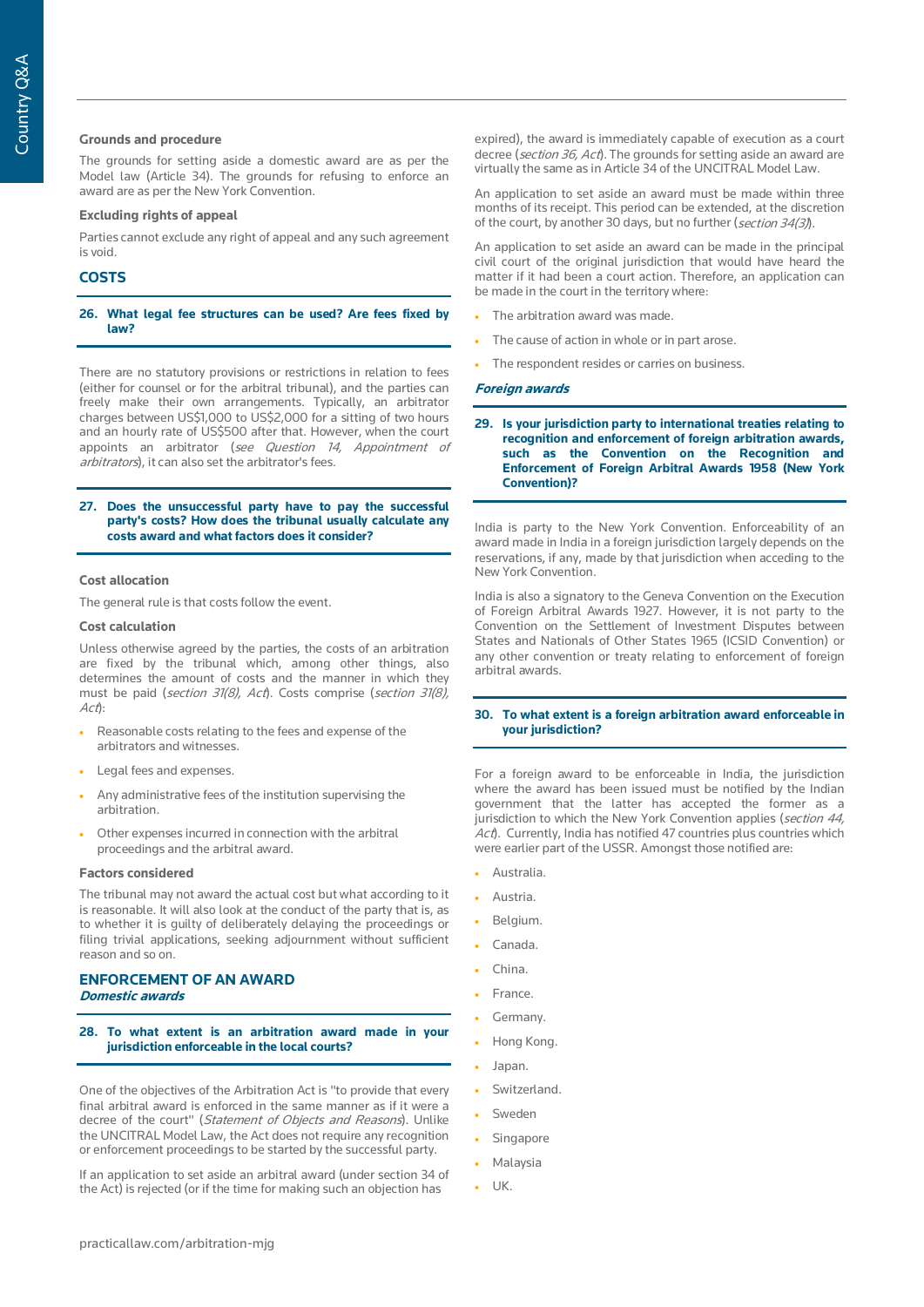## **Grounds and procedure**

The grounds for setting aside a domestic award are as per the Model law (Article 34). The grounds for refusing to enforce an award are as per the New York Convention.

## **Excluding rights of appeal**

Parties cannot exclude any right of appeal and any such agreement is void.

## **COSTS**

## **26. What legal fee structures can be used? Are fees fixed by law?**

There are no statutory provisions or restrictions in relation to fees (either for counsel or for the arbitral tribunal), and the parties can freely make their own arrangements. Typically, an arbitrator charges between US\$1,000 to US\$2,000 for a sitting of two hours and an hourly rate of US\$500 after that. However, when the court appoints an arbitrator (see Question 14, Appointment of arbitrators), it can also set the arbitrator's fees.

#### **27. Does the unsuccessful party have to pay the successful party's costs? How does the tribunal usually calculate any costs award and what factors does it consider?**

#### **Cost allocation**

The general rule is that costs follow the event.

## **Cost calculation**

Unless otherwise agreed by the parties, the costs of an arbitration are fixed by the tribunal which, among other things, also determines the amount of costs and the manner in which they must be paid (section 31(8), Act). Costs comprise (section 31(8), Act):

- Reasonable costs relating to the fees and expense of the arbitrators and witnesses.
- Legal fees and expenses.
- Any administrative fees of the institution supervising the arbitration.
- Other expenses incurred in connection with the arbitral proceedings and the arbitral award.

### **Factors considered**

The tribunal may not award the actual cost but what according to it is reasonable. It will also look at the conduct of the party that is, as to whether it is guilty of deliberately delaying the proceedings or filing trivial applications, seeking adjournment without sufficient reason and so on.

# **ENFORCEMENT OF AN AWARD**

**Domestic awards**

**28. To what extent is an arbitration award made in your jurisdiction enforceable in the local courts?** 

One of the objectives of the Arbitration Act is "to provide that every final arbitral award is enforced in the same manner as if it were a decree of the court" (Statement of Objects and Reasons). Unlike the UNCITRAL Model Law, the Act does not require any recognition or enforcement proceedings to be started by the successful party.

If an application to set aside an arbitral award (under section 34 of the Act) is rejected (or if the time for making such an objection has

expired), the award is immediately capable of execution as a court decree (section 36, Act). The grounds for setting aside an award are virtually the same as in Article 34 of the UNCITRAL Model Law.

An application to set aside an award must be made within three months of its receipt. This period can be extended, at the discretion of the court, by another 30 days, but no further (section 34(3)).

An application to set aside an award can be made in the principal civil court of the original jurisdiction that would have heard the matter if it had been a court action. Therefore, an application can be made in the court in the territory where:

- The arbitration award was made.
- The cause of action in whole or in part arose.
- The respondent resides or carries on business.

#### **Foreign awards**

**29. Is your jurisdiction party to international treaties relating to recognition and enforcement of foreign arbitration awards, such as the Convention on the Recognition and Enforcement of Foreign Arbitral Awards 1958 (New York Convention)?** 

India is party to the New York Convention. Enforceability of an award made in India in a foreign jurisdiction largely depends on the reservations, if any, made by that jurisdiction when acceding to the New York Convention.

India is also a signatory to the Geneva Convention on the Execution of Foreign Arbitral Awards 1927. However, it is not party to the Convention on the Settlement of Investment Disputes between States and Nationals of Other States 1965 (ICSID Convention) or any other convention or treaty relating to enforcement of foreign arbitral awards.

## **30. To what extent is a foreign arbitration award enforceable in your jurisdiction?**

For a foreign award to be enforceable in India, the jurisdiction where the award has been issued must be notified by the Indian government that the latter has accepted the former as a jurisdiction to which the New York Convention applies (section 44, Act). Currently, India has notified 47 countries plus countries which were earlier part of the USSR. Amongst those notified are:

- Australia.
- Austria.
- Belgium.
- Canada.
- China.
- France.
- Germany.
- Hong Kong.
- Japan.
- Switzerland.
- **Sweden**
- **Singapore**
- Malaysia
- UK.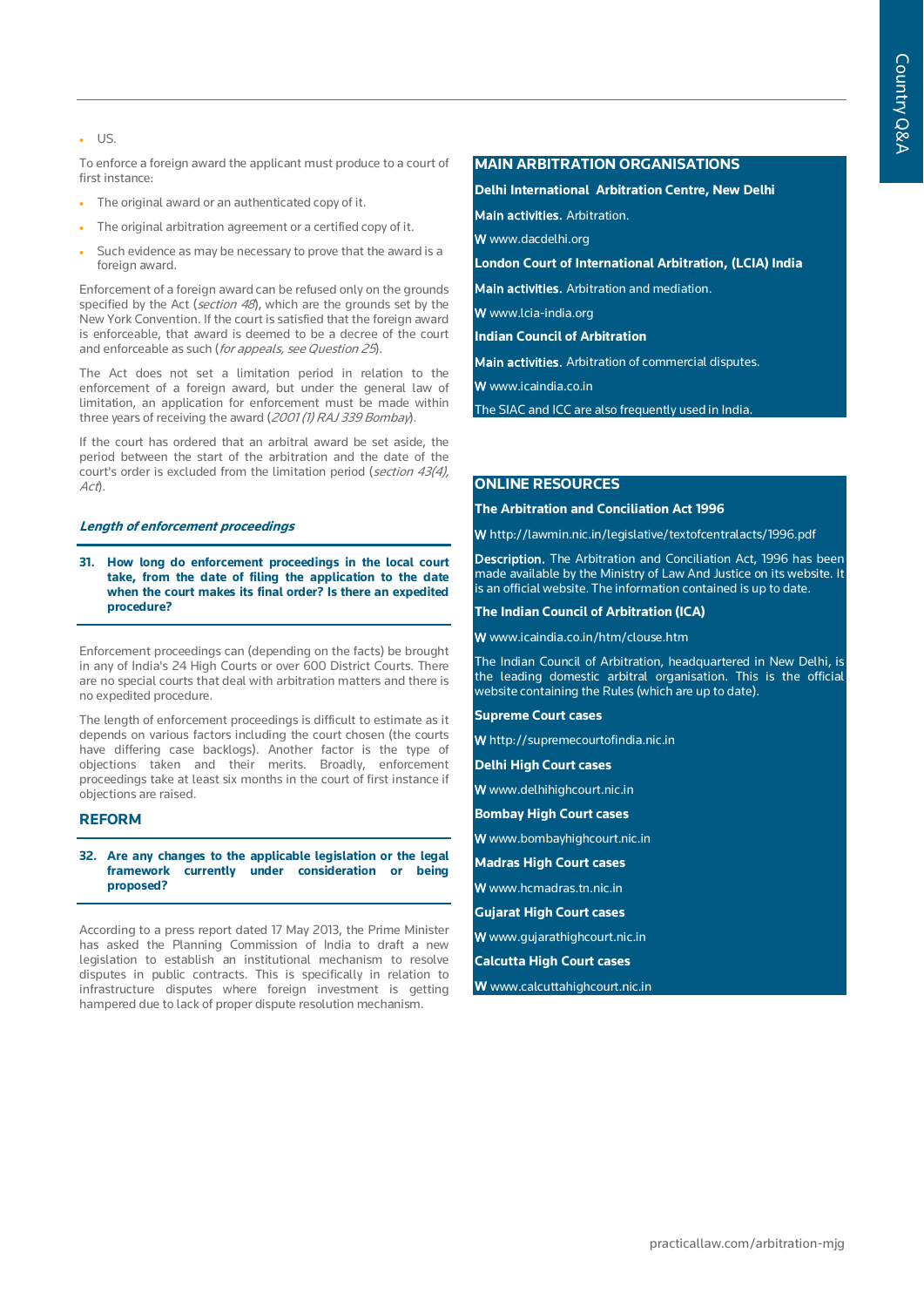• US.

To enforce a foreign award the applicant must produce to a court of first instance:

- The original award or an authenticated copy of it.
- The original arbitration agreement or a certified copy of it.
- Such evidence as may be necessary to prove that the award is a foreign award.

Enforcement of a foreign award can be refused only on the grounds specified by the Act (section 48), which are the grounds set by the New York Convention. If the court is satisfied that the foreign award is enforceable, that award is deemed to be a decree of the court and enforceable as such (for appeals, see Question 25).

The Act does not set a limitation period in relation to the enforcement of a foreign award, but under the general law of limitation, an application for enforcement must be made within three years of receiving the award (2001 (1) RAJ 339 Bombay).

If the court has ordered that an arbitral award be set aside, the period between the start of the arbitration and the date of the court's order is excluded from the limitation period (section 43(4), Act).

## **Length of enforcement proceedings**

**31. How long do enforcement proceedings in the local court take, from the date of filing the application to the date when the court makes its final order? Is there an expedited procedure?**

Enforcement proceedings can (depending on the facts) be brought in any of India's 24 High Courts or over 600 District Courts. There are no special courts that deal with arbitration matters and there is no expedited procedure.

The length of enforcement proceedings is difficult to estimate as it depends on various factors including the court chosen (the courts have differing case backlogs). Another factor is the type of objections taken and their merits. Broadly, enforcement proceedings take at least six months in the court of first instance if objections are raised.

## **REFORM**

## **32. Are any changes to the applicable legislation or the legal framework currently under consideration or being proposed?**

According to a press report dated 17 May 2013, the Prime Minister has asked the Planning Commission of India to draft a new legislation to establish an institutional mechanism to resolve disputes in public contracts. This is specifically in relation to infrastructure disputes where foreign investment is getting hampered due to lack of proper dispute resolution mechanism.

# **MAIN ARBITRATION ORGANISATIONS**

**Delhi International Arbitration Centre, New Delhi**

Main activities. Arbitration.

W www.dacdelhi.org

**London Court of International Arbitration, (LCIA) India**

Main activities. Arbitration and mediation.

W www.lcia-india.org

**Indian Council of Arbitration**

Main activities. Arbitration of commercial disputes.

W www.icaindia.co.in

The SIAC and ICC are also frequently used in India.

## **ONLINE RESOURCES**

**The Arbitration and Conciliation Act 1996**

W http://lawmin.nic.in/legislative/textofcentralacts/1996.pdf

Description. The Arbitration and Conciliation Act, 1996 has been made available by the Ministry of Law And Justice on its website. It is an official website. The information contained is up to date.

#### **The Indian Council of Arbitration (ICA)**

W www.icaindia.co.in/htm/clouse.htm

The Indian Council of Arbitration, headquartered in New Delhi, is the leading domestic arbitral organisation. This is the official website containing the Rules (which are up to date).

**Supreme Court cases** 

W http://supremecourtofindia.nic.in

**Delhi High Court cases**

W www.delhihighcourt.nic.in

**Bombay High Court cases** 

- W www.bombayhighcourt.nic.in
- **Madras High Court cases**

W www.hcmadras.tn.nic.in

**Gujarat High Court cases**

- W www.gujarathighcourt.nic.in
- **Calcutta High Court cases**
- **W** www.calcuttahighcourt.nic.in